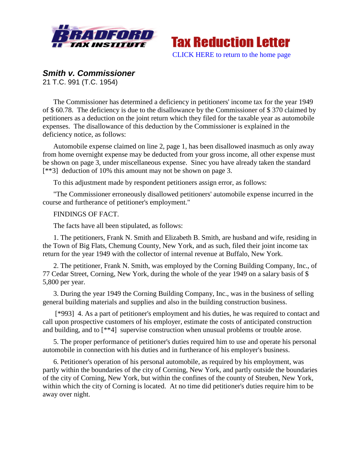



## *Smith v. Commissioner*

21 T.C. 991 (T.C. 1954)

The Commissioner has determined a deficiency in petitioners' income tax for the year 1949 of \$ 60.78. The deficiency is due to the disallowance by the Commissioner of \$ 370 claimed by petitioners as a deduction on the joint return which they filed for the taxable year as automobile expenses. The disallowance of this deduction by the Commissioner is explained in the deficiency notice, as follows:

Automobile expense claimed on line 2, page 1, has been disallowed inasmuch as only away from home overnight expense may be deducted from your gross income, all other expense must be shown on page 3, under miscellaneous expense. Sinec you have already taken the standard [\*\*3] deduction of 10% this amount may not be shown on page 3.

To this adjustment made by respondent petitioners assign error, as follows:

"The Commissioner erroneously disallowed petitioners' automobile expense incurred in the course and furtherance of petitioner's employment."

## FINDINGS OF FACT.

The facts have all been stipulated, as follows:

1. The petitioners, Frank N. Smith and Elizabeth B. Smith, are husband and wife, residing in the Town of Big Flats, Chemung County, New York, and as such, filed their joint income tax return for the year 1949 with the collector of internal revenue at Buffalo, New York.

2. The petitioner, Frank N. Smith, was employed by the Corning Building Company, Inc., of 77 Cedar Street, Corning, New York, during the whole of the year 1949 on a salary basis of \$ 5,800 per year.

3. During the year 1949 the Corning Building Company, Inc., was in the business of selling general building materials and supplies and also in the building construction business.

[\*993] 4. As a part of petitioner's employment and his duties, he was required to contact and call upon prospective customers of his employer, estimate the costs of anticipated construction and building, and to [\*\*4] supervise construction when unusual problems or trouble arose.

5. The proper performance of petitioner's duties required him to use and operate his personal automobile in connection with his duties and in furtherance of his employer's business.

6. Petitioner's operation of his personal automobile, as required by his employment, was partly within the boundaries of the city of Corning, New York, and partly outside the boundaries of the city of Corning, New York, but within the confines of the county of Steuben, New York, within which the city of Corning is located. At no time did petitioner's duties require him to be away over night.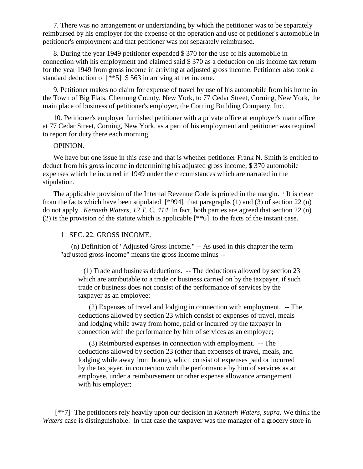7. There was no arrangement or understanding by which the petitioner was to be separately reimbursed by his employer for the expense of the operation and use of petitioner's automobile in petitioner's employment and that petitioner was not separately reimbursed.

8. During the year 1949 petitioner expended \$ 370 for the use of his automobile in connection with his employment and claimed said \$ 370 as a deduction on his income tax return for the year 1949 from gross income in arriving at adjusted gross income. Petitioner also took a standard deduction of [\*\*5] \$ 563 in arriving at net income.

9. Petitioner makes no claim for expense of travel by use of his automobile from his home in the Town of Big Flats, Chemung County, New York, to 77 Cedar Street, Corning, New York, the main place of business of petitioner's employer, the Corning Building Company, Inc.

10. Petitioner's employer furnished petitioner with a private office at employer's main office at 77 Cedar Street, Corning, New York, as a part of his employment and petitioner was required to report for duty there each morning.

## OPINION.

We have but one issue in this case and that is whether petitioner Frank N. Smith is entitled to deduct from his gross income in determining his adjusted gross income, \$ 370 automobile expenses which he incurred in 1949 under the circumstances which are narrated in the stipulation.

The applicable provision of the Internal Revenue Code is printed in the margin. <sup>1</sup> It is clear from the facts which have been stipulated [\*994] that paragraphs (1) and (3) of section 22 (n) do not apply. *Kenneth Waters, 12 T. C. 414*. In fact, both parties are agreed that section 22 (n) (2) is the provision of the statute which is applicable [\*\*6] to the facts of the instant case.

## 1 SEC. 22. GROSS INCOME.

(n) Definition of "Adjusted Gross Income." -- As used in this chapter the term "adjusted gross income" means the gross income minus --

 (1) Trade and business deductions. -- The deductions allowed by section 23 which are attributable to a trade or business carried on by the taxpayer, if such trade or business does not consist of the performance of services by the taxpayer as an employee;

(2) Expenses of travel and lodging in connection with employment. -- The deductions allowed by section 23 which consist of expenses of travel, meals and lodging while away from home, paid or incurred by the taxpayer in connection with the performance by him of services as an employee;

(3) Reimbursed expenses in connection with employment. -- The deductions allowed by section 23 (other than expenses of travel, meals, and lodging while away from home), which consist of expenses paid or incurred by the taxpayer, in connection with the performance by him of services as an employee, under a reimbursement or other expense allowance arrangement with his employer;

[\*\*7] The petitioners rely heavily upon our decision in *Kenneth Waters, supra.* We think the *Waters* case is distinguishable. In that case the taxpayer was the manager of a grocery store in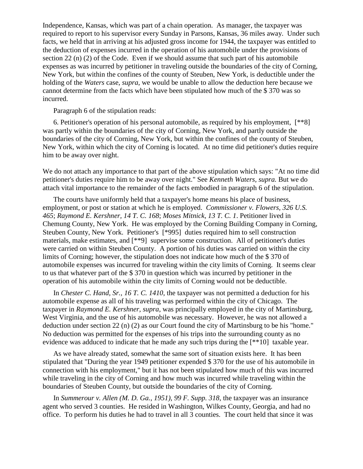Independence, Kansas, which was part of a chain operation. As manager, the taxpayer was required to report to his supervisor every Sunday in Parsons, Kansas, 36 miles away. Under such facts, we held that in arriving at his adjusted gross income for 1944, the taxpayer was entitled to the deduction of expenses incurred in the operation of his automobile under the provisions of section 22 (n) (2) of the Code. Even if we should assume that such part of his automobile expenses as was incurred by petitioner in traveling outside the boundaries of the city of Corning, New York, but within the confines of the county of Steuben, New York, is deductible under the holding of the *Waters* case, *supra*, we would be unable to allow the deduction here because we cannot determine from the facts which have been stipulated how much of the \$ 370 was so incurred.

Paragraph 6 of the stipulation reads:

6. Petitioner's operation of his personal automobile, as required by his employment, [\*\*8] was partly within the boundaries of the city of Corning, New York, and partly outside the boundaries of the city of Corning, New York, but within the confines of the county of Steuben, New York, within which the city of Corning is located. At no time did petitioner's duties require him to be away over night.

We do not attach any importance to that part of the above stipulation which says: "At no time did petitioner's duties require him to be away over night." See *Kenneth Waters, supra.* But we do attach vital importance to the remainder of the facts embodied in paragraph 6 of the stipulation.

The courts have uniformly held that a taxpayer's home means his place of business, employment, or post or station at which he is employed. *Commissioner v. Flowers, 326 U.S. 465*; *Raymond E. Kershner, 14 T. C. 168*; *Moses Mitnick, 13 T. C. 1*. Petitioner lived in Chemung County, New York. He was employed by the Corning Building Company in Corning, Steuben County, New York. Petitioner's [\*995] duties required him to sell construction materials, make estimates, and [\*\*9] supervise some construction. All of petitioner's duties were carried on within Steuben County. A portion of his duties was carried on within the city limits of Corning; however, the stipulation does not indicate how much of the \$ 370 of automobile expenses was incurred for traveling within the city limits of Corning. It seems clear to us that whatever part of the \$ 370 in question which was incurred by petitioner in the operation of his automobile within the city limits of Corning would not be deductible.

In *Chester C. Hand, Sr., 16 T. C. 1410*, the taxpayer was not permitted a deduction for his automobile expense as all of his traveling was performed within the city of Chicago. The taxpayer in *Raymond E. Kershner, supra*, was principally employed in the city of Martinsburg, West Virginia, and the use of his automobile was necessary. However, he was not allowed a deduction under section 22 (n) (2) as our Court found the city of Martinsburg to be his "home." No deduction was permitted for the expenses of his trips into the surrounding county as no evidence was adduced to indicate that he made any such trips during the [\*\*10] taxable year.

As we have already stated, somewhat the same sort of situation exists here. It has been stipulated that "During the year 1949 petitioner expended \$ 370 for the use of his automobile in connection with his employment," but it has not been stipulated how much of this was incurred while traveling in the city of Corning and how much was incurred while traveling within the boundaries of Steuben County, but outside the boundaries of the city of Corning.

In *Summerour v. Allen (M. D. Ga., 1951), 99 F. Supp. 318*, the taxpayer was an insurance agent who served 3 counties. He resided in Washington, Wilkes County, Georgia, and had no office. To perform his duties he had to travel in all 3 counties. The court held that since it was